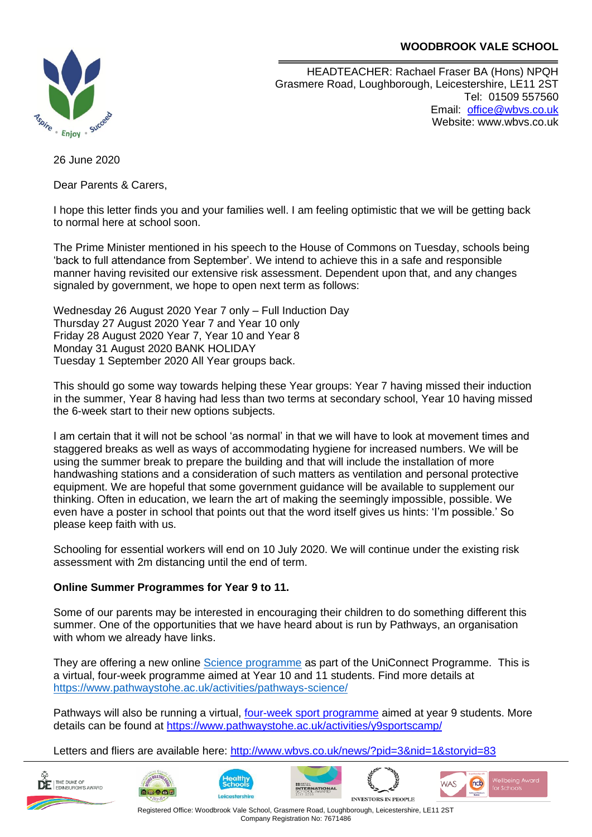# **WOODBROOK VALE SCHOOL**



HEADTEACHER: Rachael Fraser BA (Hons) NPQH Grasmere Road, Loughborough, Leicestershire, LE11 2ST Tel: 01509 557560 Email: [office@wbvs.co.uk](mailto:office@wbvs.co.uk) Website: www.wbvs.co.uk

26 June 2020

Dear Parents & Carers,

I hope this letter finds you and your families well. I am feeling optimistic that we will be getting back to normal here at school soon.

The Prime Minister mentioned in his speech to the House of Commons on Tuesday, schools being 'back to full attendance from September'. We intend to achieve this in a safe and responsible manner having revisited our extensive risk assessment. Dependent upon that, and any changes signaled by government, we hope to open next term as follows:

Wednesday 26 August 2020 Year 7 only – Full Induction Day Thursday 27 August 2020 Year 7 and Year 10 only Friday 28 August 2020 Year 7, Year 10 and Year 8 Monday 31 August 2020 BANK HOLIDAY Tuesday 1 September 2020 All Year groups back.

This should go some way towards helping these Year groups: Year 7 having missed their induction in the summer, Year 8 having had less than two terms at secondary school, Year 10 having missed the 6-week start to their new options subjects.

I am certain that it will not be school 'as normal' in that we will have to look at movement times and staggered breaks as well as ways of accommodating hygiene for increased numbers. We will be using the summer break to prepare the building and that will include the installation of more handwashing stations and a consideration of such matters as ventilation and personal protective equipment. We are hopeful that some government guidance will be available to supplement our thinking. Often in education, we learn the art of making the seemingly impossible, possible. We even have a poster in school that points out that the word itself gives us hints: 'I'm possible.' So please keep faith with us.

Schooling for essential workers will end on 10 July 2020. We will continue under the existing risk assessment with 2m distancing until the end of term.

# **Online Summer Programmes for Year 9 to 11.**

Some of our parents may be interested in encouraging their children to do something different this summer. One of the opportunities that we have heard about is run by Pathways, an organisation with whom we already have links.

They are offering a new online [Science programme](https://www.pathwaystohe.ac.uk/activities/pathways-science/) as part of the UniConnect Programme. This is a virtual, four-week programme aimed at Year 10 and 11 students. Find more details at <https://www.pathwaystohe.ac.uk/activities/pathways-science/>

Pathways will also be running a virtual, [four-week sport programme](https://www.pathwaystohe.ac.uk/activities/y9sportscamp/) aimed at year 9 students. More details can be found at<https://www.pathwaystohe.ac.uk/activities/y9sportscamp/>

Letters and fliers are available here:<http://www.wbvs.co.uk/news/?pid=3&nid=1&storyid=83>













Registered Office: Woodbrook Vale School, Grasmere Road, Loughborough, Leicestershire, LE11 2ST Company Registration No: 7671486